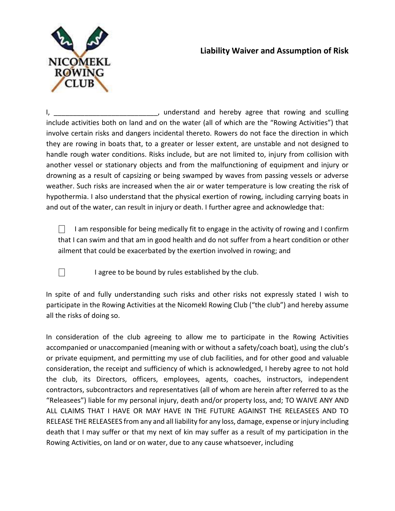## **Liability Waiver and Assumption of Risk**



I, \_\_\_\_\_\_\_\_\_\_\_\_\_\_\_\_\_\_\_\_\_\_\_\_\_\_\_\_\_, understand and hereby agree that rowing and sculling include activities both on land and on the water (all of which are the "Rowing Activities") that involve certain risks and dangers incidental thereto. Rowers do not face the direction in which they are rowing in boats that, to a greater or lesser extent, are unstable and not designed to handle rough water conditions. Risks include, but are not limited to, injury from collision with another vessel or stationary objects and from the malfunctioning of equipment and injury or drowning as a result of capsizing or being swamped by waves from passing vessels or adverse weather. Such risks are increased when the air or water temperature is low creating the risk of hypothermia. I also understand that the physical exertion of rowing, including carrying boats in and out of the water, can result in injury or death. I further agree and acknowledge that:

 $\Box$  I am responsible for being medically fit to engage in the activity of rowing and I confirm that I can swim and that am in good health and do not suffer from a heart condition or other ailment that could be exacerbated by the exertion involved in rowing; and

 $\Box$  I agree to be bound by rules established by the club.

In spite of and fully understanding such risks and other risks not expressly stated I wish to participate in the Rowing Activities at the Nicomekl Rowing Club ("the club") and hereby assume all the risks of doing so.

In consideration of the club agreeing to allow me to participate in the Rowing Activities accompanied or unaccompanied (meaning with or without a safety/coach boat), using the club's or private equipment, and permitting my use of club facilities, and for other good and valuable consideration, the receipt and sufficiency of which is acknowledged, I hereby agree to not hold the club, its Directors, officers, employees, agents, coaches, instructors, independent contractors, subcontractors and representatives (all of whom are herein after referred to as the "Releasees") liable for my personal injury, death and/or property loss, and; TO WAIVE ANY AND ALL CLAIMS THAT I HAVE OR MAY HAVE IN THE FUTURE AGAINST THE RELEASEES AND TO RELEASE THE RELEASEES from any and all liability for any loss, damage, expense or injury including death that I may suffer or that my next of kin may suffer as a result of my participation in the Rowing Activities, on land or on water, due to any cause whatsoever, including